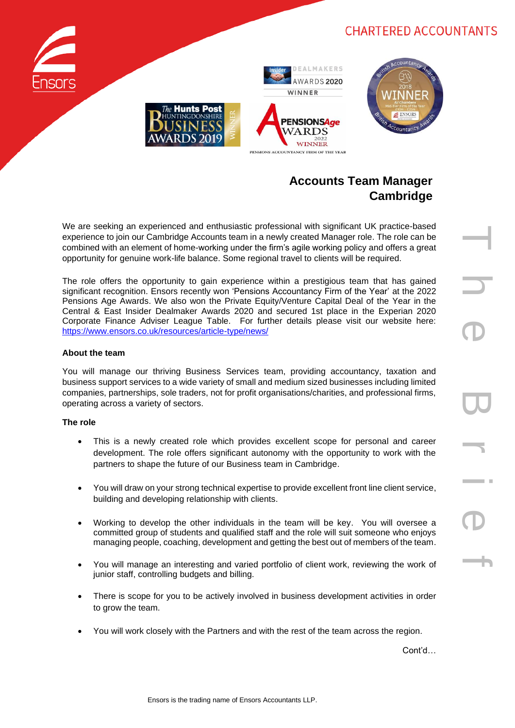# **CHARTERED ACCOUNTANTS**







# **Accounts Team Manager Cambridge**

We are seeking an experienced and enthusiastic professional with significant UK practice-based experience to join our Cambridge Accounts team in a newly created Manager role. The role can be combined with an element of home-working under the firm's agile working policy and offers a great opportunity for genuine work-life balance. Some regional travel to clients will be required.

The role offers the opportunity to gain experience within a prestigious team that has gained significant recognition. Ensors recently won 'Pensions Accountancy Firm of the Year' at the 2022 Pensions Age Awards. We also won the Private Equity/Venture Capital Deal of the Year in the Central & East Insider Dealmaker Awards 2020 and secured 1st place in the Experian 2020 Corporate Finance Adviser League Table. For further details please visit our website here: <https://www.ensors.co.uk/resources/article-type/news/>

### **About the team**

You will manage our thriving Business Services team, providing accountancy, taxation and business support services to a wide variety of small and medium sized businesses including limited companies, partnerships, sole traders, not for profit organisations/charities, and professional firms, operating across a variety of sectors.

#### **The role**

- This is a newly created role which provides excellent scope for personal and career development. The role offers significant autonomy with the opportunity to work with the partners to shape the future of our Business team in Cambridge.
- You will draw on your strong technical expertise to provide excellent front line client service, building and developing relationship with clients.
- Working to develop the other individuals in the team will be key. You will oversee a committed group of students and qualified staff and the role will suit someone who enjoys managing people, coaching, development and getting the best out of members of the team.
- You will manage an interesting and varied portfolio of client work, reviewing the work of junior staff, controlling budgets and billing.
- There is scope for you to be actively involved in business development activities in order to grow the team.
- You will work closely with the Partners and with the rest of the team across the region.

Cont'd…